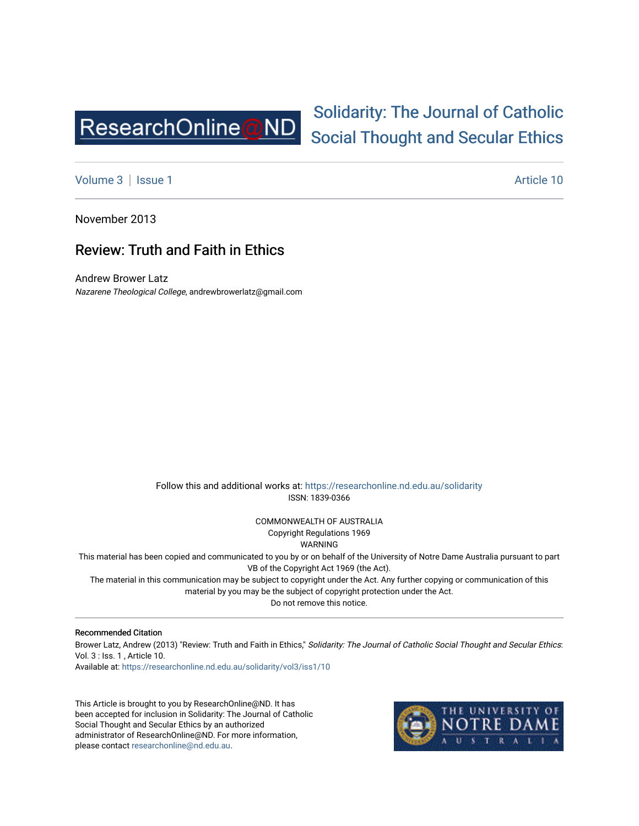

## [Solidarity: The Journal of Catholic](https://researchonline.nd.edu.au/solidarity)  [Social Thought and Secular Ethics](https://researchonline.nd.edu.au/solidarity)

[Volume 3](https://researchonline.nd.edu.au/solidarity/vol3) | [Issue 1](https://researchonline.nd.edu.au/solidarity/vol3/iss1) Article 10

November 2013

## Review: Truth and Faith in Ethics

Andrew Brower Latz Nazarene Theological College, andrewbrowerlatz@gmail.com

> Follow this and additional works at: [https://researchonline.nd.edu.au/solidarity](https://researchonline.nd.edu.au/solidarity?utm_source=researchonline.nd.edu.au%2Fsolidarity%2Fvol3%2Fiss1%2F10&utm_medium=PDF&utm_campaign=PDFCoverPages)  ISSN: 1839-0366

> > COMMONWEALTH OF AUSTRALIA Copyright Regulations 1969

WARNING

This material has been copied and communicated to you by or on behalf of the University of Notre Dame Australia pursuant to part VB of the Copyright Act 1969 (the Act).

The material in this communication may be subject to copyright under the Act. Any further copying or communication of this material by you may be the subject of copyright protection under the Act.

Do not remove this notice.

## Recommended Citation

Brower Latz, Andrew (2013) "Review: Truth and Faith in Ethics," Solidarity: The Journal of Catholic Social Thought and Secular Ethics: Vol. 3 : Iss. 1 , Article 10.

Available at: [https://researchonline.nd.edu.au/solidarity/vol3/iss1/10](https://researchonline.nd.edu.au/solidarity/vol3/iss1/10?utm_source=researchonline.nd.edu.au%2Fsolidarity%2Fvol3%2Fiss1%2F10&utm_medium=PDF&utm_campaign=PDFCoverPages)

This Article is brought to you by ResearchOnline@ND. It has been accepted for inclusion in Solidarity: The Journal of Catholic Social Thought and Secular Ethics by an authorized administrator of ResearchOnline@ND. For more information, please contact [researchonline@nd.edu.au.](mailto:researchonline@nd.edu.au)

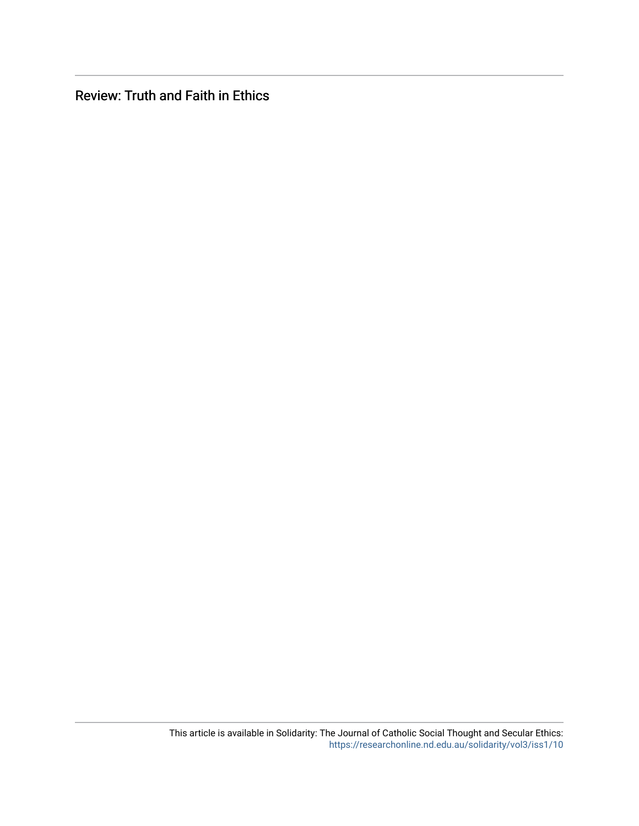Review: Truth and Faith in Ethics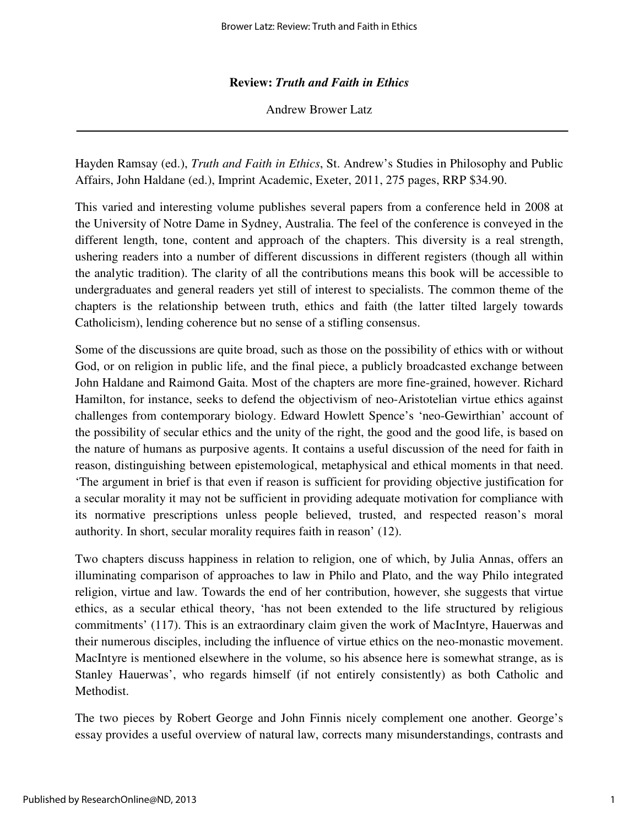## **Review:** *Truth and Faith in Ethics*

Andrew Brower Latz

Hayden Ramsay (ed.), *Truth and Faith in Ethics*, St. Andrew's Studies in Philosophy and Public Affairs, John Haldane (ed.), Imprint Academic, Exeter, 2011, 275 pages, RRP \$34.90.

This varied and interesting volume publishes several papers from a conference held in 2008 at the University of Notre Dame in Sydney, Australia. The feel of the conference is conveyed in the different length, tone, content and approach of the chapters. This diversity is a real strength, ushering readers into a number of different discussions in different registers (though all within the analytic tradition). The clarity of all the contributions means this book will be accessible to undergraduates and general readers yet still of interest to specialists. The common theme of the chapters is the relationship between truth, ethics and faith (the latter tilted largely towards Catholicism), lending coherence but no sense of a stifling consensus.

Some of the discussions are quite broad, such as those on the possibility of ethics with or without God, or on religion in public life, and the final piece, a publicly broadcasted exchange between John Haldane and Raimond Gaita. Most of the chapters are more fine-grained, however. Richard Hamilton, for instance, seeks to defend the objectivism of neo-Aristotelian virtue ethics against challenges from contemporary biology. Edward Howlett Spence's 'neo-Gewirthian' account of the possibility of secular ethics and the unity of the right, the good and the good life, is based on the nature of humans as purposive agents. It contains a useful discussion of the need for faith in reason, distinguishing between epistemological, metaphysical and ethical moments in that need. 'The argument in brief is that even if reason is sufficient for providing objective justification for a secular morality it may not be sufficient in providing adequate motivation for compliance with its normative prescriptions unless people believed, trusted, and respected reason's moral authority. In short, secular morality requires faith in reason' (12).

Two chapters discuss happiness in relation to religion, one of which, by Julia Annas, offers an illuminating comparison of approaches to law in Philo and Plato, and the way Philo integrated religion, virtue and law. Towards the end of her contribution, however, she suggests that virtue ethics, as a secular ethical theory, 'has not been extended to the life structured by religious commitments' (117). This is an extraordinary claim given the work of MacIntyre, Hauerwas and their numerous disciples, including the influence of virtue ethics on the neo-monastic movement. MacIntyre is mentioned elsewhere in the volume, so his absence here is somewhat strange, as is Stanley Hauerwas', who regards himself (if not entirely consistently) as both Catholic and Methodist.

The two pieces by Robert George and John Finnis nicely complement one another. George's essay provides a useful overview of natural law, corrects many misunderstandings, contrasts and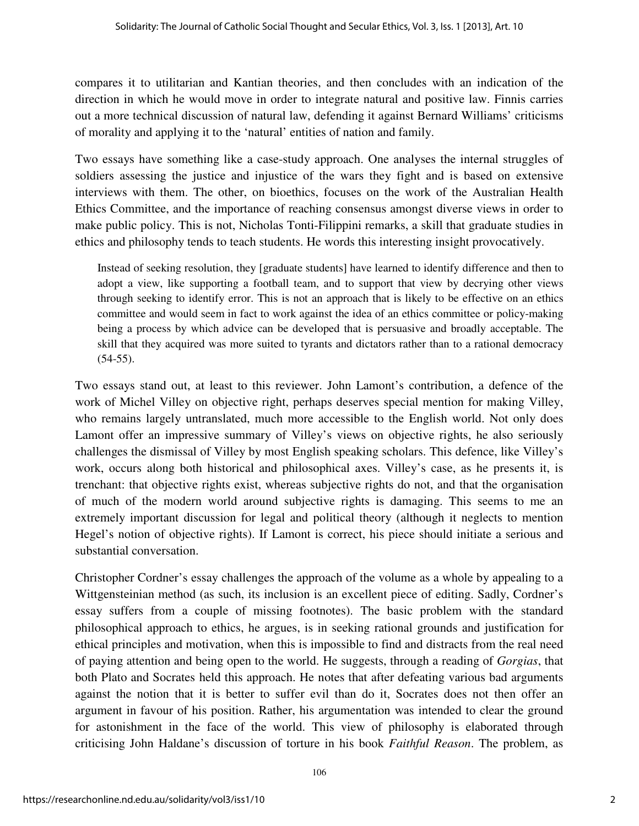compares it to utilitarian and Kantian theories, and then concludes with an indication of the direction in which he would move in order to integrate natural and positive law. Finnis carries out a more technical discussion of natural law, defending it against Bernard Williams' criticisms of morality and applying it to the 'natural' entities of nation and family.

Two essays have something like a case-study approach. One analyses the internal struggles of soldiers assessing the justice and injustice of the wars they fight and is based on extensive interviews with them. The other, on bioethics, focuses on the work of the Australian Health Ethics Committee, and the importance of reaching consensus amongst diverse views in order to make public policy. This is not, Nicholas Tonti-Filippini remarks, a skill that graduate studies in ethics and philosophy tends to teach students. He words this interesting insight provocatively.

Instead of seeking resolution, they [graduate students] have learned to identify difference and then to adopt a view, like supporting a football team, and to support that view by decrying other views through seeking to identify error. This is not an approach that is likely to be effective on an ethics committee and would seem in fact to work against the idea of an ethics committee or policy-making being a process by which advice can be developed that is persuasive and broadly acceptable. The skill that they acquired was more suited to tyrants and dictators rather than to a rational democracy  $(54-55)$ .

Two essays stand out, at least to this reviewer. John Lamont's contribution, a defence of the work of Michel Villey on objective right, perhaps deserves special mention for making Villey, who remains largely untranslated, much more accessible to the English world. Not only does Lamont offer an impressive summary of Villey's views on objective rights, he also seriously challenges the dismissal of Villey by most English speaking scholars. This defence, like Villey's work, occurs along both historical and philosophical axes. Villey's case, as he presents it, is trenchant: that objective rights exist, whereas subjective rights do not, and that the organisation of much of the modern world around subjective rights is damaging. This seems to me an extremely important discussion for legal and political theory (although it neglects to mention Hegel's notion of objective rights). If Lamont is correct, his piece should initiate a serious and substantial conversation.

Christopher Cordner's essay challenges the approach of the volume as a whole by appealing to a Wittgensteinian method (as such, its inclusion is an excellent piece of editing. Sadly, Cordner's essay suffers from a couple of missing footnotes). The basic problem with the standard philosophical approach to ethics, he argues, is in seeking rational grounds and justification for ethical principles and motivation, when this is impossible to find and distracts from the real need of paying attention and being open to the world. He suggests, through a reading of *Gorgias*, that both Plato and Socrates held this approach. He notes that after defeating various bad arguments against the notion that it is better to suffer evil than do it, Socrates does not then offer an argument in favour of his position. Rather, his argumentation was intended to clear the ground for astonishment in the face of the world. This view of philosophy is elaborated through criticising John Haldane's discussion of torture in his book *Faithful Reason*. The problem, as